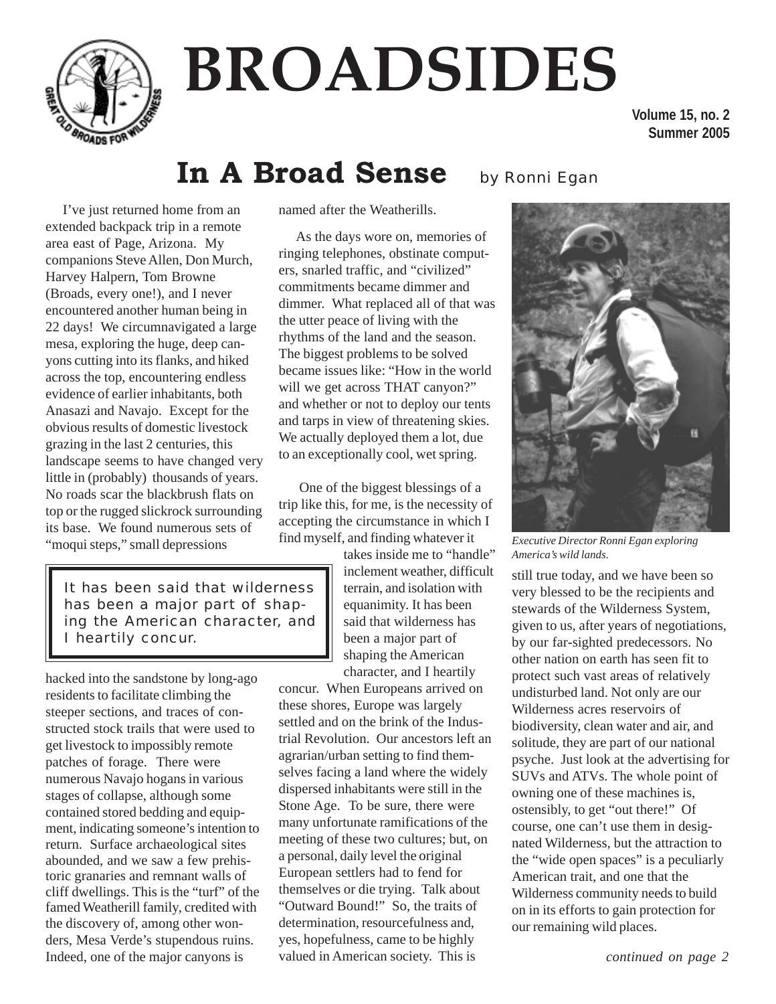

# **BROADSIDES**

**Volume 15, no. 2 Summer 2005**

### In A Broad Sense by Ronni Egan

I've just returned home from an extended backpack trip in a remote area east of Page, Arizona. My companions Steve Allen, Don Murch, Harvey Halpern, Tom Browne (Broads, every one!), and I never encountered another human being in 22 days! We circumnavigated a large mesa, exploring the huge, deep canyons cutting into its flanks, and hiked across the top, encountering endless evidence of earlier inhabitants, both Anasazi and Navajo. Except for the obvious results of domestic livestock grazing in the last 2 centuries, this landscape seems to have changed very little in (probably) thousands of years. No roads scar the blackbrush flats on top or the rugged slickrock surrounding its base. We found numerous sets of "moqui steps," small depressions

named after the Weatherills.

As the days wore on, memories of ringing telephones, obstinate computers, snarled traffic, and "civilized" commitments became dimmer and dimmer. What replaced all of that was the utter peace of living with the rhythms of the land and the season. The biggest problems to be solved became issues like: "How in the world will we get across THAT canyon?" and whether or not to deploy our tents and tarps in view of threatening skies. We actually deployed them a lot, due to an exceptionally cool, wet spring.

 One of the biggest blessings of a trip like this, for me, is the necessity of accepting the circumstance in which I find myself, and finding whatever it

> takes inside me to "handle" inclement weather, difficult terrain, and isolation with equanimity. It has been said that wilderness has been a major part of shaping the American character, and I heartily

concur. When Europeans arrived on these shores, Europe was largely settled and on the brink of the Industrial Revolution. Our ancestors left an agrarian/urban setting to find themselves facing a land where the widely dispersed inhabitants were still in the Stone Age. To be sure, there were many unfortunate ramifications of the meeting of these two cultures; but, on a personal, daily level the original European settlers had to fend for themselves or die trying. Talk about "Outward Bound!" So, the traits of determination, resourcefulness and, yes, hopefulness, came to be highly valued in American society. This is



*Executive Director Ronni Egan exploring America's wild lands.*

still true today, and we have been so very blessed to be the recipients and stewards of the Wilderness System, given to us, after years of negotiations, by our far-sighted predecessors. No other nation on earth has seen fit to protect such vast areas of relatively undisturbed land. Not only are our Wilderness acres reservoirs of biodiversity, clean water and air, and solitude, they are part of our national psyche. Just look at the advertising for SUVs and ATVs. The whole point of owning one of these machines is, ostensibly, to get "out there!" Of course, one can't use them in designated Wilderness, but the attraction to the "wide open spaces" is a peculiarly American trait, and one that the Wilderness community needs to build on in its efforts to gain protection for our remaining wild places.

*It has been said that wilderness has been a major part of shaping the American character, and I heartily concur.*

hacked into the sandstone by long-ago residents to facilitate climbing the steeper sections, and traces of constructed stock trails that were used to get livestock to impossibly remote patches of forage. There were numerous Navajo hogans in various stages of collapse, although some contained stored bedding and equipment, indicating someone's intention to return. Surface archaeological sites abounded, and we saw a few prehistoric granaries and remnant walls of cliff dwellings. This is the "turf" of the famed Weatherill family, credited with the discovery of, among other wonders, Mesa Verde's stupendous ruins. Indeed, one of the major canyons is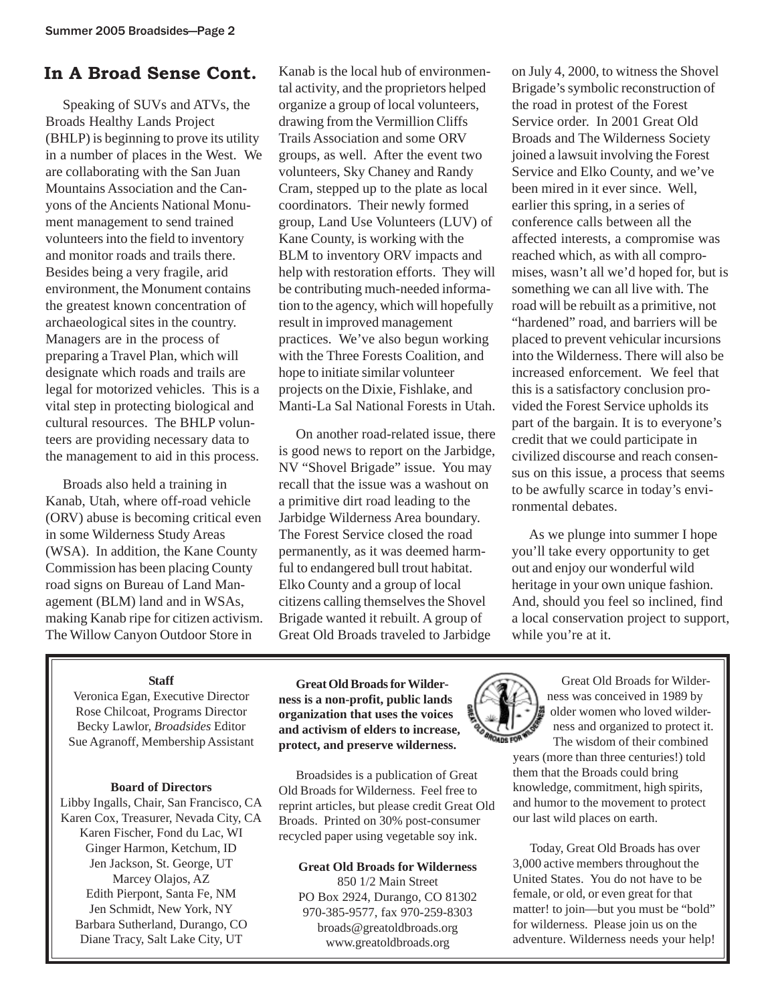### **In A Broad Sense Cont.**

Speaking of SUVs and ATVs, the Broads Healthy Lands Project (BHLP) is beginning to prove its utility in a number of places in the West. We are collaborating with the San Juan Mountains Association and the Canyons of the Ancients National Monument management to send trained volunteers into the field to inventory and monitor roads and trails there. Besides being a very fragile, arid environment, the Monument contains the greatest known concentration of archaeological sites in the country. Managers are in the process of preparing a Travel Plan, which will designate which roads and trails are legal for motorized vehicles. This is a vital step in protecting biological and cultural resources. The BHLP volunteers are providing necessary data to the management to aid in this process.

Broads also held a training in Kanab, Utah, where off-road vehicle (ORV) abuse is becoming critical even in some Wilderness Study Areas (WSA). In addition, the Kane County Commission has been placing County road signs on Bureau of Land Management (BLM) land and in WSAs, making Kanab ripe for citizen activism. The Willow Canyon Outdoor Store in

Kanab is the local hub of environmental activity, and the proprietors helped organize a group of local volunteers, drawing from the Vermillion Cliffs Trails Association and some ORV groups, as well. After the event two volunteers, Sky Chaney and Randy Cram, stepped up to the plate as local coordinators. Their newly formed group, Land Use Volunteers (LUV) of Kane County, is working with the BLM to inventory ORV impacts and help with restoration efforts. They will be contributing much-needed information to the agency, which will hopefully result in improved management practices. We've also begun working with the Three Forests Coalition, and hope to initiate similar volunteer projects on the Dixie, Fishlake, and Manti-La Sal National Forests in Utah.

On another road-related issue, there is good news to report on the Jarbidge, NV "Shovel Brigade" issue. You may recall that the issue was a washout on a primitive dirt road leading to the Jarbidge Wilderness Area boundary. The Forest Service closed the road permanently, as it was deemed harmful to endangered bull trout habitat. Elko County and a group of local citizens calling themselves the Shovel Brigade wanted it rebuilt. A group of Great Old Broads traveled to Jarbidge

on July 4, 2000, to witness the Shovel Brigade's symbolic reconstruction of the road in protest of the Forest Service order. In 2001 Great Old Broads and The Wilderness Society joined a lawsuit involving the Forest Service and Elko County, and we've been mired in it ever since. Well, earlier this spring, in a series of conference calls between all the affected interests, a compromise was reached which, as with all compromises, wasn't all we'd hoped for, but is something we can all live with. The road will be rebuilt as a primitive, not "hardened" road, and barriers will be placed to prevent vehicular incursions into the Wilderness. There will also be increased enforcement. We feel that this is a satisfactory conclusion provided the Forest Service upholds its part of the bargain. It is to everyone's credit that we could participate in civilized discourse and reach consensus on this issue, a process that seems to be awfully scarce in today's environmental debates.

As we plunge into summer I hope you'll take every opportunity to get out and enjoy our wonderful wild heritage in your own unique fashion. And, should you feel so inclined, find a local conservation project to support, while you're at it.

#### **Staff**

Veronica Egan, Executive Director Rose Chilcoat, Programs Director Becky Lawlor, *Broadsides* Editor Sue Agranoff, Membership Assistant

#### **Board of Directors**

Libby Ingalls, Chair, San Francisco, CA Karen Cox, Treasurer, Nevada City, CA Karen Fischer, Fond du Lac, WI Ginger Harmon, Ketchum, ID Jen Jackson, St. George, UT Marcey Olajos, AZ Edith Pierpont, Santa Fe, NM Jen Schmidt, New York, NY Barbara Sutherland, Durango, CO Diane Tracy, Salt Lake City, UT

**Great Old Broads for Wilderness is a non-profit, public lands organization that uses the voices and activism of elders to increase, protect, and preserve wilderness.**

Broadsides is a publication of Great Old Broads for Wilderness. Feel free to reprint articles, but please credit Great Old Broads. Printed on 30% post-consumer recycled paper using vegetable soy ink.

#### **Great Old Broads for Wilderness**

850 1/2 Main Street PO Box 2924, Durango, CO 81302 970-385-9577, fax 970-259-8303 broads@greatoldbroads.org www.greatoldbroads.org



Great Old Broads for Wilderness was conceived in 1989 by older women who loved wilderness and organized to protect it.

The wisdom of their combined years (more than three centuries!) told them that the Broads could bring knowledge, commitment, high spirits, and humor to the movement to protect our last wild places on earth.

Today, Great Old Broads has over 3,000 active members throughout the United States. You do not have to be female, or old, or even great for that matter! to join—but you must be "bold" for wilderness. Please join us on the adventure. Wilderness needs your help!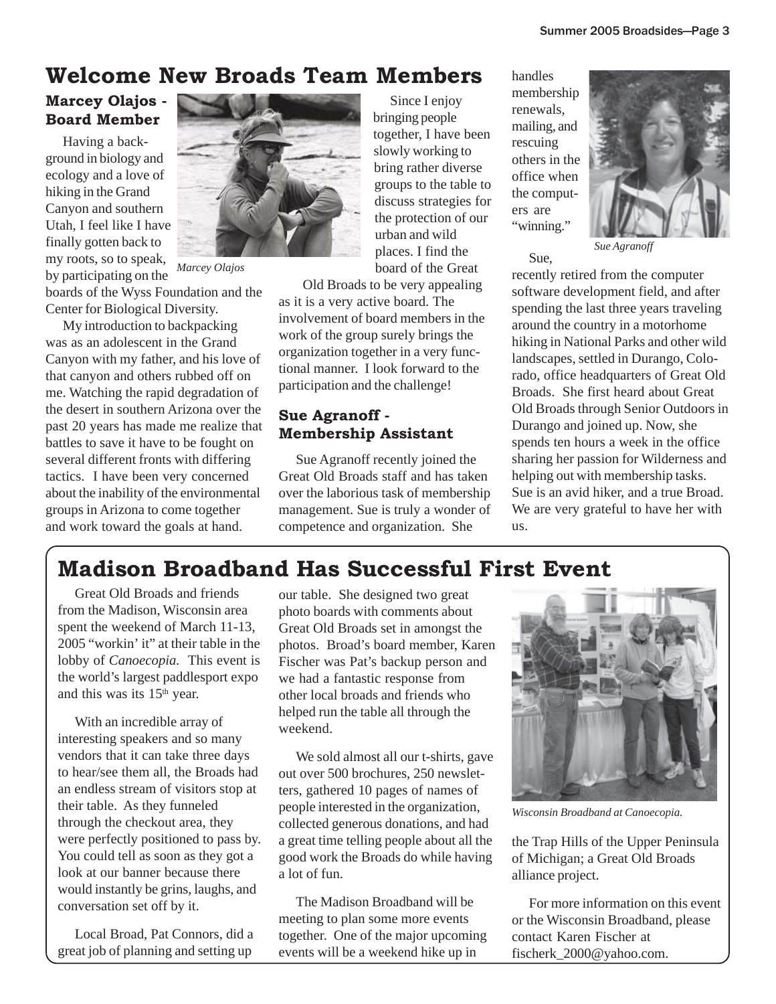### **Welcome New Broads Team Members** handles

### **Marcey Olajos - Board Member**

Having a background in biology and ecology and a love of hiking in the Grand Canyon and southern Utah, I feel like I have finally gotten back to my roots, so to speak, by participating on the

boards of the Wyss Foundation and the Center for Biological Diversity.

My introduction to backpacking was as an adolescent in the Grand Canyon with my father, and his love of that canyon and others rubbed off on me. Watching the rapid degradation of the desert in southern Arizona over the past 20 years has made me realize that battles to save it have to be fought on several different fronts with differing tactics. I have been very concerned about the inability of the environmental groups in Arizona to come together and work toward the goals at hand.



*Marcey Olajos*

Since I enjoy bringing people together, I have been slowly working to bring rather diverse groups to the table to discuss strategies for the protection of our urban and wild places. I find the board of the Great

Old Broads to be very appealing

as it is a very active board. The involvement of board members in the work of the group surely brings the organization together in a very functional manner. I look forward to the participation and the challenge!

### **Sue Agranoff - Membership Assistant**

Sue Agranoff recently joined the Great Old Broads staff and has taken over the laborious task of membership management. Sue is truly a wonder of competence and organization. She

membership renewals, mailing, and rescuing others in the office when the computers are "winning."

Sue,



*Sue Agranoff*

recently retired from the computer software development field, and after spending the last three years traveling around the country in a motorhome hiking in National Parks and other wild landscapes, settled in Durango, Colorado, office headquarters of Great Old Broads. She first heard about Great Old Broads through Senior Outdoors in Durango and joined up. Now, she spends ten hours a week in the office sharing her passion for Wilderness and helping out with membership tasks. Sue is an avid hiker, and a true Broad. We are very grateful to have her with us.

### **Madison Broadband Has Successful First Event**

Great Old Broads and friends from the Madison, Wisconsin area spent the weekend of March 11-13, 2005 "workin' it" at their table in the lobby of *Canoecopia.* This event is the world's largest paddlesport expo and this was its  $15<sup>th</sup>$  year.

With an incredible array of interesting speakers and so many vendors that it can take three days to hear/see them all, the Broads had an endless stream of visitors stop at their table. As they funneled through the checkout area, they were perfectly positioned to pass by. You could tell as soon as they got a look at our banner because there would instantly be grins, laughs, and conversation set off by it.

Local Broad, Pat Connors, did a great job of planning and setting up

our table. She designed two great photo boards with comments about Great Old Broads set in amongst the photos. Broad's board member, Karen Fischer was Pat's backup person and we had a fantastic response from other local broads and friends who helped run the table all through the weekend.

We sold almost all our t-shirts, gave out over 500 brochures, 250 newsletters, gathered 10 pages of names of people interested in the organization, collected generous donations, and had a great time telling people about all the good work the Broads do while having a lot of fun.

The Madison Broadband will be meeting to plan some more events together. One of the major upcoming events will be a weekend hike up in



*Wisconsin Broadband at Canoecopia.*

the Trap Hills of the Upper Peninsula of Michigan; a Great Old Broads alliance project.

For more information on this event or the Wisconsin Broadband, please contact Karen Fischer at fischerk\_2000@yahoo.com.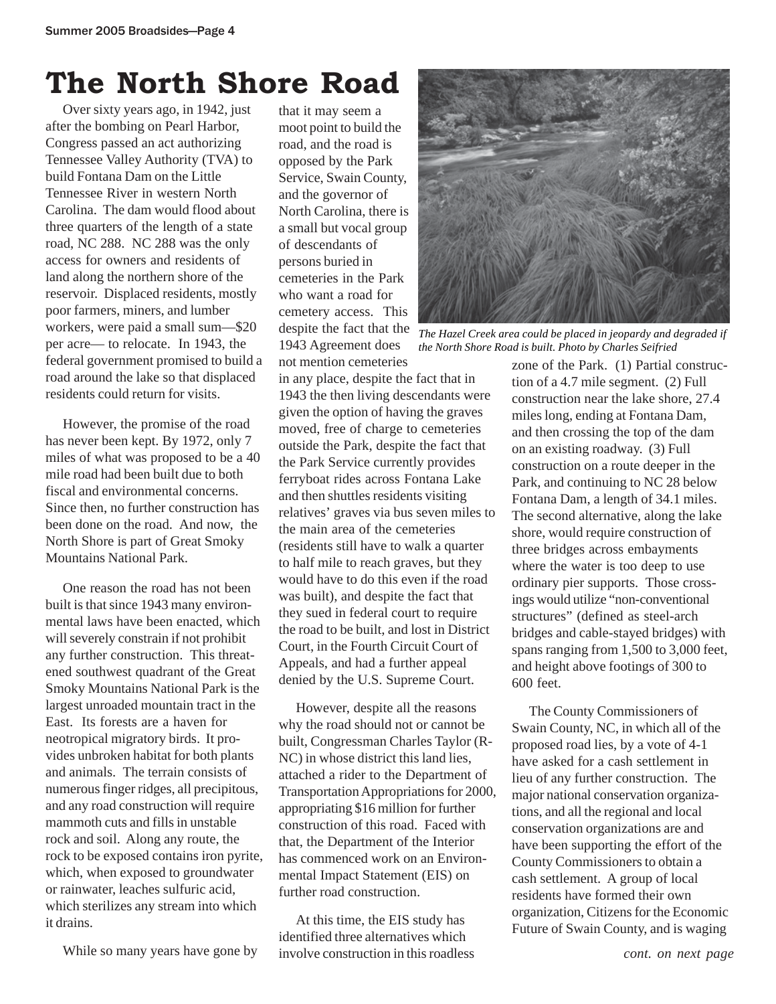### **The North Shore Road**

Over sixty years ago, in 1942, just after the bombing on Pearl Harbor, Congress passed an act authorizing Tennessee Valley Authority (TVA) to build Fontana Dam on the Little Tennessee River in western North Carolina. The dam would flood about three quarters of the length of a state road, NC 288. NC 288 was the only access for owners and residents of land along the northern shore of the reservoir. Displaced residents, mostly poor farmers, miners, and lumber workers, were paid a small sum—\$20 per acre— to relocate. In 1943, the federal government promised to build a road around the lake so that displaced residents could return for visits.

However, the promise of the road has never been kept. By 1972, only 7 miles of what was proposed to be a 40 mile road had been built due to both fiscal and environmental concerns. Since then, no further construction has been done on the road. And now, the North Shore is part of Great Smoky Mountains National Park.

One reason the road has not been built is that since 1943 many environmental laws have been enacted, which will severely constrain if not prohibit any further construction. This threatened southwest quadrant of the Great Smoky Mountains National Park is the largest unroaded mountain tract in the East. Its forests are a haven for neotropical migratory birds. It provides unbroken habitat for both plants and animals. The terrain consists of numerous finger ridges, all precipitous, and any road construction will require mammoth cuts and fills in unstable rock and soil. Along any route, the rock to be exposed contains iron pyrite, which, when exposed to groundwater or rainwater, leaches sulfuric acid, which sterilizes any stream into which it drains.

While so many years have gone by

that it may seem a moot point to build the road, and the road is opposed by the Park Service, Swain County, and the governor of North Carolina, there is a small but vocal group of descendants of persons buried in cemeteries in the Park who want a road for cemetery access. This despite the fact that the 1943 Agreement does not mention cemeteries



*The Hazel Creek area could be placed in jeopardy and degraded if the North Shore Road is built. Photo by Charles Seifried*

in any place, despite the fact that in 1943 the then living descendants were given the option of having the graves moved, free of charge to cemeteries outside the Park, despite the fact that the Park Service currently provides ferryboat rides across Fontana Lake and then shuttles residents visiting relatives' graves via bus seven miles to the main area of the cemeteries (residents still have to walk a quarter to half mile to reach graves, but they would have to do this even if the road was built), and despite the fact that they sued in federal court to require the road to be built, and lost in District Court, in the Fourth Circuit Court of Appeals, and had a further appeal denied by the U.S. Supreme Court.

However, despite all the reasons why the road should not or cannot be built, Congressman Charles Taylor (R-NC) in whose district this land lies, attached a rider to the Department of Transportation Appropriations for 2000, appropriating \$16 million for further construction of this road. Faced with that, the Department of the Interior has commenced work on an Environmental Impact Statement (EIS) on further road construction.

At this time, the EIS study has identified three alternatives which involve construction in this roadless zone of the Park. (1) Partial construction of a 4.7 mile segment. (2) Full construction near the lake shore, 27.4 miles long, ending at Fontana Dam, and then crossing the top of the dam on an existing roadway. (3) Full construction on a route deeper in the Park, and continuing to NC 28 below Fontana Dam, a length of 34.1 miles. The second alternative, along the lake shore, would require construction of three bridges across embayments where the water is too deep to use ordinary pier supports. Those crossings would utilize "non-conventional structures" (defined as steel-arch bridges and cable-stayed bridges) with spans ranging from 1,500 to 3,000 feet, and height above footings of 300 to 600 feet.

The County Commissioners of Swain County, NC, in which all of the proposed road lies, by a vote of 4-1 have asked for a cash settlement in lieu of any further construction. The major national conservation organizations, and all the regional and local conservation organizations are and have been supporting the effort of the County Commissioners to obtain a cash settlement. A group of local residents have formed their own organization, Citizens for the Economic Future of Swain County, and is waging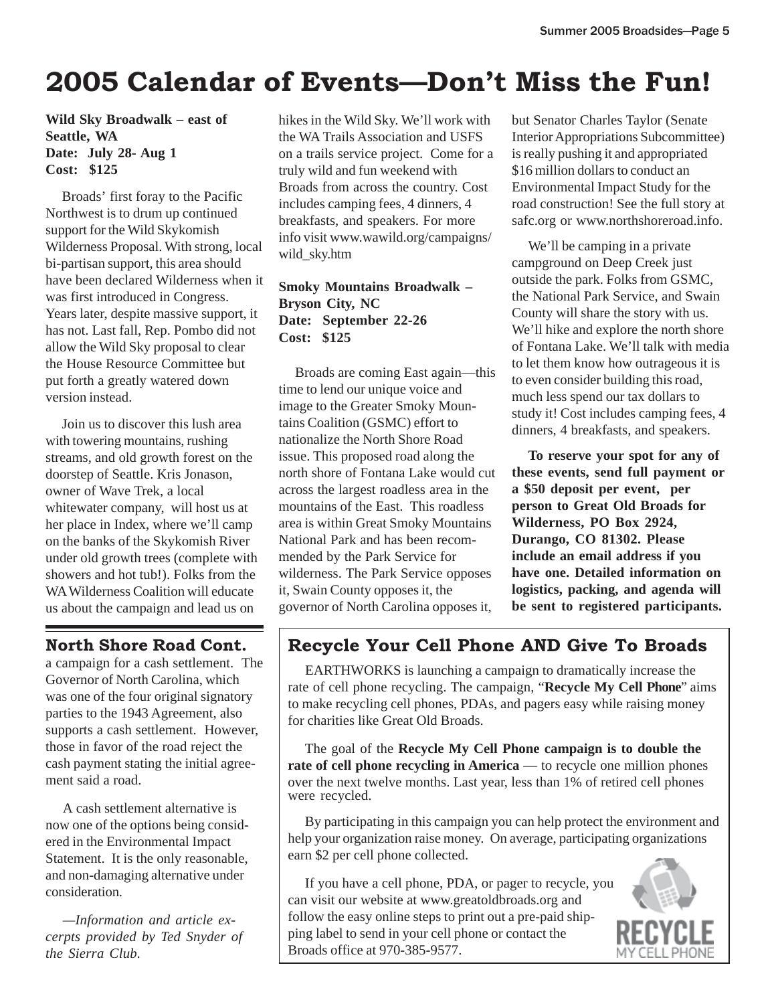### **2005 Calendar of Events—Don't Miss the Fun!**

**Wild Sky Broadwalk – east of Seattle, WA Date: July 28- Aug 1 Cost: \$125**

Broads' first foray to the Pacific Northwest is to drum up continued support for the Wild Skykomish Wilderness Proposal. With strong, local bi-partisan support, this area should have been declared Wilderness when it was first introduced in Congress. Years later, despite massive support, it has not. Last fall, Rep. Pombo did not allow the Wild Sky proposal to clear the House Resource Committee but put forth a greatly watered down version instead.

Join us to discover this lush area with towering mountains, rushing streams, and old growth forest on the doorstep of Seattle. Kris Jonason, owner of Wave Trek, a local whitewater company, will host us at her place in Index, where we'll camp on the banks of the Skykomish River under old growth trees (complete with showers and hot tub!). Folks from the WA Wilderness Coalition will educate us about the campaign and lead us on

### **North Shore Road Cont.**

a campaign for a cash settlement. The Governor of North Carolina, which was one of the four original signatory parties to the 1943 Agreement, also supports a cash settlement. However, those in favor of the road reject the cash payment stating the initial agreement said a road.

A cash settlement alternative is now one of the options being considered in the Environmental Impact Statement. It is the only reasonable, and non-damaging alternative under consideration.

*—Information and article excerpts provided by Ted Snyder of the Sierra Club.*

hikes in the Wild Sky. We'll work with the WA Trails Association and USFS on a trails service project. Come for a truly wild and fun weekend with Broads from across the country. Cost includes camping fees, 4 dinners, 4 breakfasts, and speakers. For more info visit www.wawild.org/campaigns/ wild\_sky.htm

#### **Smoky Mountains Broadwalk – Bryson City, NC Date: September 22-26 Cost: \$125**

Broads are coming East again—this time to lend our unique voice and image to the Greater Smoky Mountains Coalition (GSMC) effort to nationalize the North Shore Road issue. This proposed road along the north shore of Fontana Lake would cut across the largest roadless area in the mountains of the East. This roadless area is within Great Smoky Mountains National Park and has been recommended by the Park Service for wilderness. The Park Service opposes it, Swain County opposes it, the governor of North Carolina opposes it,

but Senator Charles Taylor (Senate Interior Appropriations Subcommittee) is really pushing it and appropriated \$16 million dollars to conduct an Environmental Impact Study for the road construction! See the full story at safc.org or www.northshoreroad.info.

We'll be camping in a private campground on Deep Creek just outside the park. Folks from GSMC, the National Park Service, and Swain County will share the story with us. We'll hike and explore the north shore of Fontana Lake. We'll talk with media to let them know how outrageous it is to even consider building this road, much less spend our tax dollars to study it! Cost includes camping fees, 4 dinners, 4 breakfasts, and speakers.

**To reserve your spot for any of these events, send full payment or a \$50 deposit per event, per person to Great Old Broads for Wilderness, PO Box 2924, Durango, CO 81302. Please include an email address if you have one. Detailed information on logistics, packing, and agenda will be sent to registered participants.**

### **Recycle Your Cell Phone AND Give To Broads**

EARTHWORKS is launching a campaign to dramatically increase the rate of cell phone recycling. The campaign, "**Recycle My Cell Phone**" aims to make recycling cell phones, PDAs, and pagers easy while raising money for charities like Great Old Broads.

The goal of the **Recycle My Cell Phone campaign is to double the rate of cell phone recycling in America** — to recycle one million phones over the next twelve months. Last year, less than 1% of retired cell phones were recycled.

By participating in this campaign you can help protect the environment and help your organization raise money. On average, participating organizations earn \$2 per cell phone collected.

If you have a cell phone, PDA, or pager to recycle, you can visit our website at www.greatoldbroads.org and follow the easy online steps to print out a pre-paid shipping label to send in your cell phone or contact the Broads office at 970-385-9577.

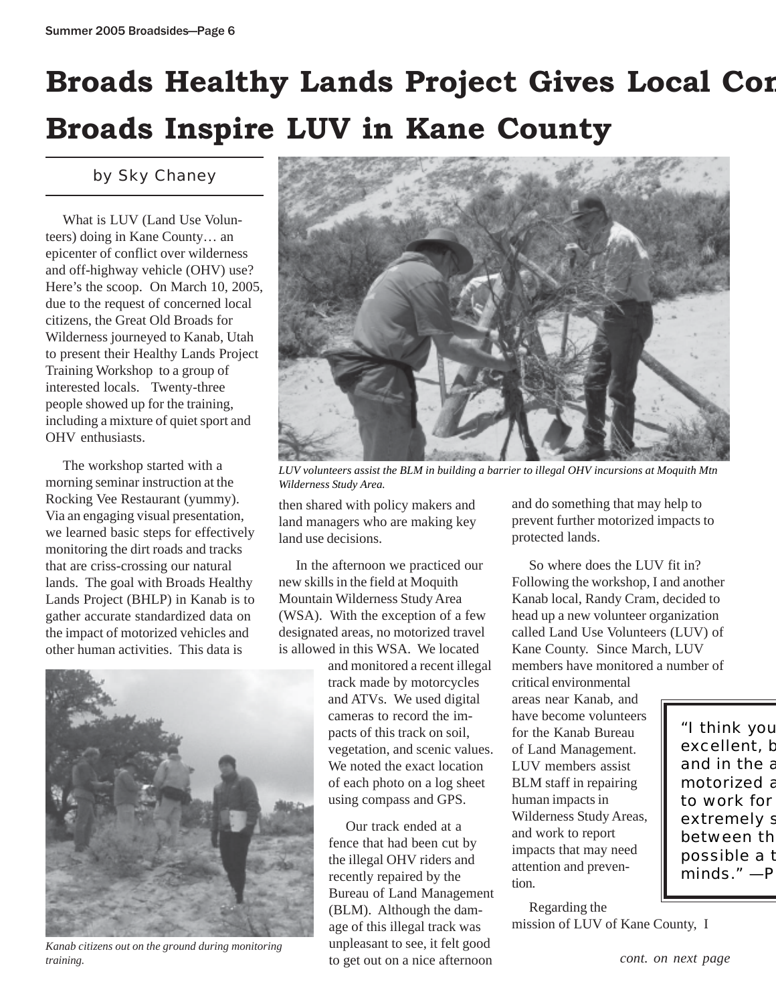## **Broads Healthy Lands Project Gives Local Com Broads Inspire LUV in Kane County**

### by Sky Chaney

What is LUV (Land Use Volunteers) doing in Kane County… an epicenter of conflict over wilderness and off-highway vehicle (OHV) use? Here's the scoop. On March 10, 2005, due to the request of concerned local citizens, the Great Old Broads for Wilderness journeyed to Kanab, Utah to present their Healthy Lands Project Training Workshop to a group of interested locals. Twenty-three people showed up for the training, including a mixture of quiet sport and OHV enthusiasts.

The workshop started with a morning seminar instruction at the Rocking Vee Restaurant (yummy). Via an engaging visual presentation, we learned basic steps for effectively monitoring the dirt roads and tracks that are criss-crossing our natural lands. The goal with Broads Healthy Lands Project (BHLP) in Kanab is to gather accurate standardized data on the impact of motorized vehicles and other human activities. This data is



*Kanab citizens out on the ground during monitoring training.*



*LUV volunteers assist the BLM in building a barrier to illegal OHV incursions at Moquith Mtn Wilderness Study Area.*

then shared with policy makers and land managers who are making key land use decisions.

In the afternoon we practiced our new skills in the field at Moquith Mountain Wilderness Study Area (WSA). With the exception of a few designated areas, no motorized travel is allowed in this WSA. We located

and monitored a recent illegal track made by motorcycles and ATVs. We used digital cameras to record the impacts of this track on soil, vegetation, and scenic values. We noted the exact location of each photo on a log sheet using compass and GPS.

Our track ended at a fence that had been cut by the illegal OHV riders and recently repaired by the Bureau of Land Management (BLM). Although the damage of this illegal track was unpleasant to see, it felt good to get out on a nice afternoon

and do something that may help to prevent further motorized impacts to protected lands.

So where does the LUV fit in? Following the workshop, I and another Kanab local, Randy Cram, decided to head up a new volunteer organization called Land Use Volunteers (LUV) of Kane County. Since March, LUV members have monitored a number of critical environmental

areas near Kanab, and have become volunteers for the Kanab Bureau of Land Management. LUV members assist BLM staff in repairing human impacts in Wilderness Study Areas, and work to report impacts that may need attention and prevention.

Regarding the mission of LUV of Kane County, I

"I think you excellent, **b** and in the a motorized a to work for extremely s between th possible a t minds." —P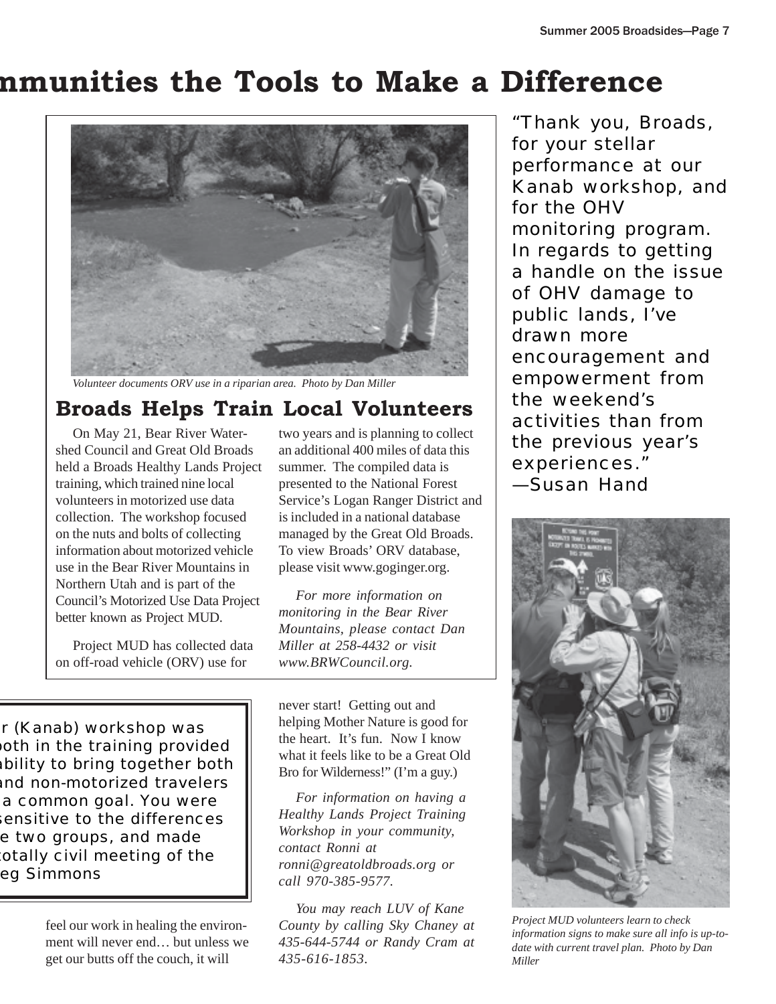### **mmunities the Tools to Make a Difference**



*Volunteer documents ORV use in a riparian area. Photo by Dan Miller*

### **Broads Helps Train Local Volunteers**

On May 21, Bear River Watershed Council and Great Old Broads held a Broads Healthy Lands Project training, which trained nine local volunteers in motorized use data collection. The workshop focused on the nuts and bolts of collecting information about motorized vehicle use in the Bear River Mountains in Northern Utah and is part of the Council's Motorized Use Data Project better known as Project MUD.

Project MUD has collected data on off-road vehicle (ORV) use for

two years and is planning to collect an additional 400 miles of data this summer. The compiled data is presented to the National Forest Service's Logan Ranger District and is included in a national database managed by the Great Old Broads. To view Broads' ORV database, please visit www.goginger.org.

*For more information on monitoring in the Bear River Mountains, please contact Dan Miller at 258-4432 or visit www.BRWCouncil.org.*

r (Kanab) workshop was oth in the training provided ability to bring together both and non-motorized travelers a common goal. You were sensitive to the differences e two groups, and made otally civil meeting of the eg Simmons

> feel our work in healing the environment will never end… but unless we get our butts off the couch, it will

never start! Getting out and helping Mother Nature is good for the heart. It's fun. Now I know what it feels like to be a Great Old Bro for Wilderness!" (I'm a guy.)

*For information on having a Healthy Lands Project Training Workshop in your community, contact Ronni at ronni@greatoldbroads.org or call 970-385-9577.*

*You may reach LUV of Kane County by calling Sky Chaney at 435-644-5744 or Randy Cram at 435-616-1853.*

*"Thank you, Broads, for your stellar performance at our Kanab workshop, and for the OHV monitoring program. In regards to getting a handle on the issue of OHV damage to public lands, I've drawn more encouragement and empowerment from the weekend's activities than from the previous year's experiences." —Susan Hand*



*Project MUD volunteers learn to check information signs to make sure all info is up-todate with current travel plan. Photo by Dan Miller*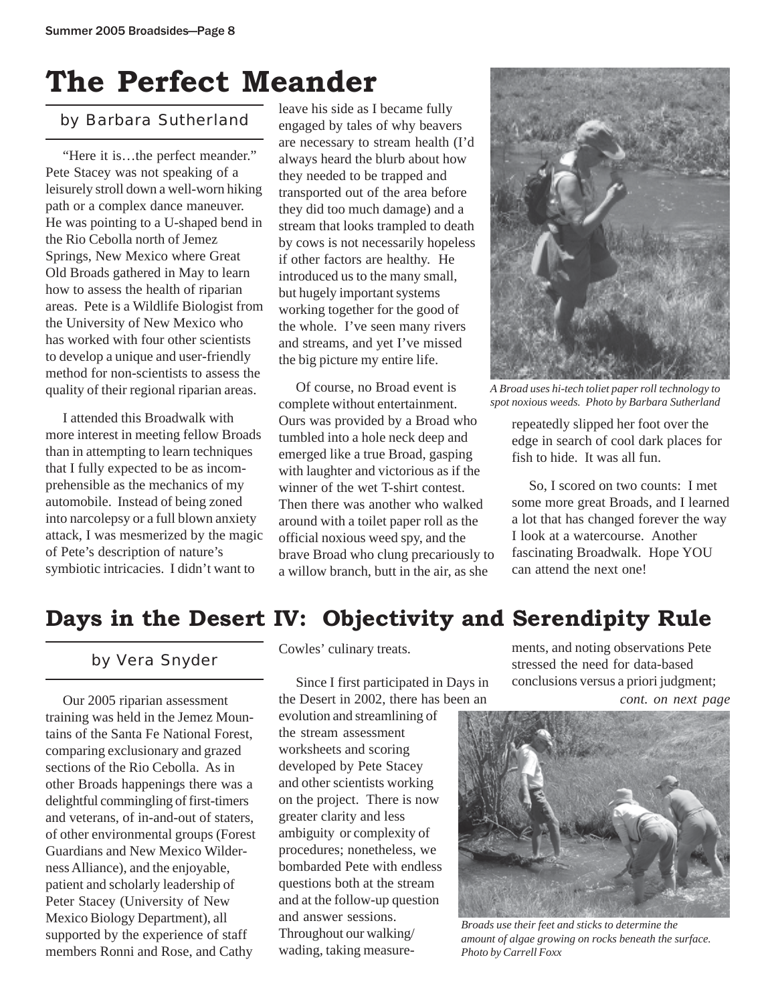## **The Perfect Meander**

"Here it is…the perfect meander." Pete Stacey was not speaking of a leisurely stroll down a well-worn hiking path or a complex dance maneuver. He was pointing to a U-shaped bend in the Rio Cebolla north of Jemez Springs, New Mexico where Great Old Broads gathered in May to learn how to assess the health of riparian areas. Pete is a Wildlife Biologist from the University of New Mexico who has worked with four other scientists to develop a unique and user-friendly method for non-scientists to assess the quality of their regional riparian areas.

I attended this Broadwalk with more interest in meeting fellow Broads than in attempting to learn techniques that I fully expected to be as incomprehensible as the mechanics of my automobile. Instead of being zoned into narcolepsy or a full blown anxiety attack, I was mesmerized by the magic of Pete's description of nature's symbiotic intricacies. I didn't want to

by Barbara Sutherland leave his side as I became fully engaged by tales of why beavers are necessary to stream health (I'd always heard the blurb about how they needed to be trapped and transported out of the area before they did too much damage) and a stream that looks trampled to death by cows is not necessarily hopeless if other factors are healthy. He introduced us to the many small, but hugely important systems working together for the good of the whole. I've seen many rivers and streams, and yet I've missed the big picture my entire life.

> Of course, no Broad event is complete without entertainment. Ours was provided by a Broad who tumbled into a hole neck deep and emerged like a true Broad, gasping with laughter and victorious as if the winner of the wet T-shirt contest. Then there was another who walked around with a toilet paper roll as the official noxious weed spy, and the brave Broad who clung precariously to a willow branch, butt in the air, as she



*A Broad uses hi-tech toliet paper roll technology to spot noxious weeds. Photo by Barbara Sutherland*

repeatedly slipped her foot over the edge in search of cool dark places for fish to hide. It was all fun.

So, I scored on two counts: I met some more great Broads, and I learned a lot that has changed forever the way I look at a watercourse. Another fascinating Broadwalk. Hope YOU can attend the next one!

### **Days in the Desert IV: Objectivity and Serendipity Rule**

Our 2005 riparian assessment training was held in the Jemez Mountains of the Santa Fe National Forest, comparing exclusionary and grazed sections of the Rio Cebolla. As in other Broads happenings there was a delightful commingling of first-timers and veterans, of in-and-out of staters, of other environmental groups (Forest Guardians and New Mexico Wilderness Alliance), and the enjoyable, patient and scholarly leadership of Peter Stacey (University of New Mexico Biology Department), all supported by the experience of staff members Ronni and Rose, and Cathy

Cowles' culinary treats.

Since I first participated in Days in the Desert in 2002, there has been an

evolution and streamlining of the stream assessment worksheets and scoring developed by Pete Stacey and other scientists working on the project. There is now greater clarity and less ambiguity or complexity of procedures; nonetheless, we bombarded Pete with endless questions both at the stream and at the follow-up question and answer sessions. Throughout our walking/ wading, taking measure-

**by Vera Snyder** Cowles' culinary treats. The ments, and noting observations Pete<br>stressed the need for data-based stressed the need for data-based conclusions versus a priori judgment;

*cont. on next page*



*Broads use their feet and sticks to determine the amount of algae growing on rocks beneath the surface. Photo by Carrell Foxx*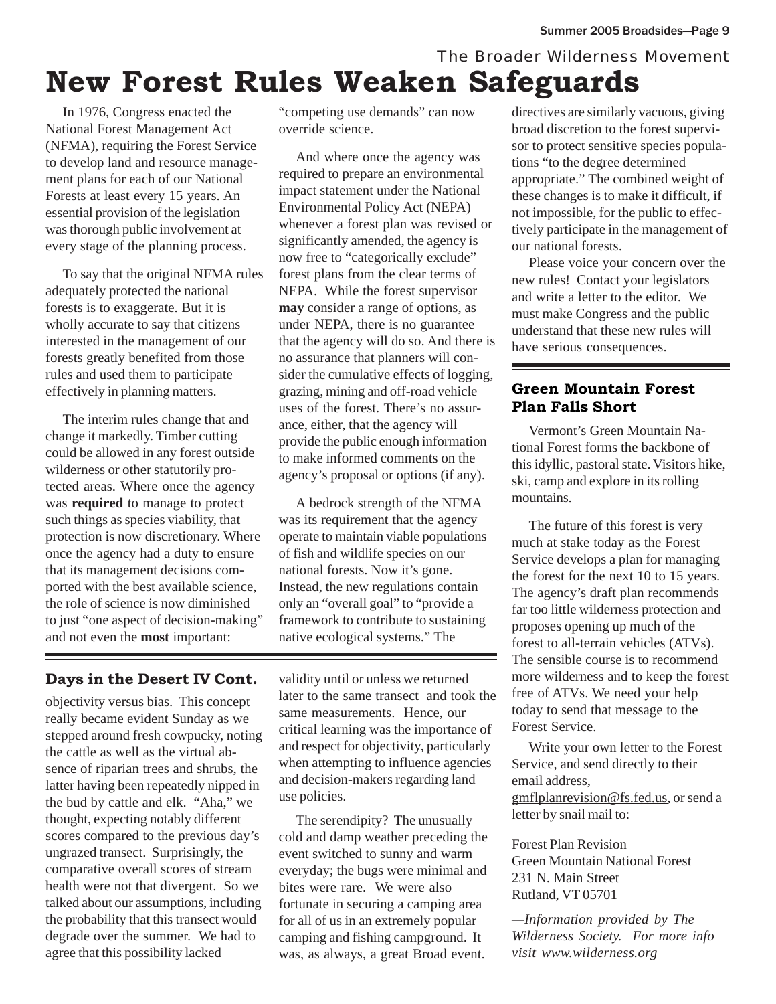### *The Broader Wilderness Movement* **New Forest Rules Weaken Safeguards**

In 1976, Congress enacted the National Forest Management Act (NFMA), requiring the Forest Service to develop land and resource management plans for each of our National Forests at least every 15 years. An essential provision of the legislation was thorough public involvement at every stage of the planning process.

To say that the original NFMA rules adequately protected the national forests is to exaggerate. But it is wholly accurate to say that citizens interested in the management of our forests greatly benefited from those rules and used them to participate effectively in planning matters.

The interim rules change that and change it markedly. Timber cutting could be allowed in any forest outside wilderness or other statutorily protected areas. Where once the agency was **required** to manage to protect such things as species viability, that protection is now discretionary. Where once the agency had a duty to ensure that its management decisions comported with the best available science, the role of science is now diminished to just "one aspect of decision-making" and not even the **most** important:

"competing use demands" can now override science.

And where once the agency was required to prepare an environmental impact statement under the National Environmental Policy Act (NEPA) whenever a forest plan was revised or significantly amended, the agency is now free to "categorically exclude" forest plans from the clear terms of NEPA. While the forest supervisor **may** consider a range of options, as under NEPA, there is no guarantee that the agency will do so. And there is no assurance that planners will consider the cumulative effects of logging, grazing, mining and off-road vehicle uses of the forest. There's no assurance, either, that the agency will provide the public enough information to make informed comments on the agency's proposal or options (if any).

A bedrock strength of the NFMA was its requirement that the agency operate to maintain viable populations of fish and wildlife species on our national forests. Now it's gone. Instead, the new regulations contain only an "overall goal" to "provide a framework to contribute to sustaining native ecological systems." The

### **Days in the Desert IV Cont.**

objectivity versus bias. This concept really became evident Sunday as we stepped around fresh cowpucky, noting the cattle as well as the virtual absence of riparian trees and shrubs, the latter having been repeatedly nipped in the bud by cattle and elk. "Aha," we thought, expecting notably different scores compared to the previous day's ungrazed transect. Surprisingly, the comparative overall scores of stream health were not that divergent. So we talked about our assumptions, including the probability that this transect would degrade over the summer. We had to agree that this possibility lacked

validity until or unless we returned later to the same transect and took the same measurements. Hence, our critical learning was the importance of and respect for objectivity, particularly when attempting to influence agencies and decision-makers regarding land use policies.

The serendipity? The unusually cold and damp weather preceding the event switched to sunny and warm everyday; the bugs were minimal and bites were rare. We were also fortunate in securing a camping area for all of us in an extremely popular camping and fishing campground. It was, as always, a great Broad event.

directives are similarly vacuous, giving broad discretion to the forest supervisor to protect sensitive species populations "to the degree determined appropriate." The combined weight of these changes is to make it difficult, if not impossible, for the public to effectively participate in the management of our national forests.

Please voice your concern over the new rules! Contact your legislators and write a letter to the editor. We must make Congress and the public understand that these new rules will have serious consequences.

### **Green Mountain Forest Plan Falls Short**

Vermont's Green Mountain National Forest forms the backbone of this idyllic, pastoral state. Visitors hike, ski, camp and explore in its rolling mountains.

The future of this forest is very much at stake today as the Forest Service develops a plan for managing the forest for the next 10 to 15 years. The agency's draft plan recommends far too little wilderness protection and proposes opening up much of the forest to all-terrain vehicles (ATVs). The sensible course is to recommend more wilderness and to keep the forest free of ATVs. We need your help today to send that message to the Forest Service.

Write your own letter to the Forest Service, and send directly to their email address, gmflplanrevision@fs.fed.us, or send a letter by snail mail to:

Forest Plan Revision Green Mountain National Forest 231 N. Main Street Rutland, VT 05701

*—Information provided by The Wilderness Society. For more info visit www.wilderness.org*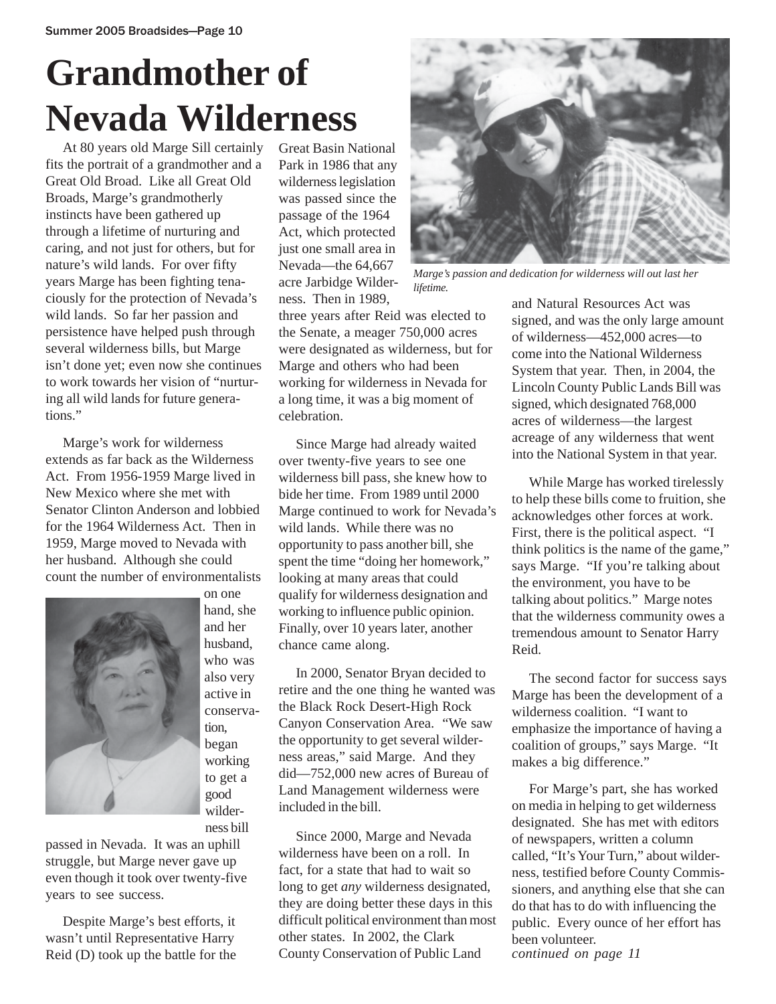## **Grandmother of Nevada Wilderness**

At 80 years old Marge Sill certainly fits the portrait of a grandmother and a Great Old Broad. Like all Great Old Broads, Marge's grandmotherly instincts have been gathered up through a lifetime of nurturing and caring, and not just for others, but for nature's wild lands. For over fifty years Marge has been fighting tenaciously for the protection of Nevada's wild lands. So far her passion and persistence have helped push through several wilderness bills, but Marge isn't done yet; even now she continues to work towards her vision of "nurturing all wild lands for future generations."

Marge's work for wilderness extends as far back as the Wilderness Act. From 1956-1959 Marge lived in New Mexico where she met with Senator Clinton Anderson and lobbied for the 1964 Wilderness Act. Then in 1959, Marge moved to Nevada with her husband. Although she could count the number of environmentalists



on one hand, she and her husband, who was also very active in conservation, began working to get a good wilderness bill

passed in Nevada. It was an uphill struggle, but Marge never gave up even though it took over twenty-five years to see success.

Despite Marge's best efforts, it wasn't until Representative Harry Reid (D) took up the battle for the Great Basin National Park in 1986 that any wilderness legislation was passed since the passage of the 1964 Act, which protected just one small area in Nevada—the 64,667 acre Jarbidge Wilderness. Then in 1989,

three years after Reid was elected to the Senate, a meager 750,000 acres were designated as wilderness, but for Marge and others who had been working for wilderness in Nevada for a long time, it was a big moment of celebration.

Since Marge had already waited over twenty-five years to see one wilderness bill pass, she knew how to bide her time. From 1989 until 2000 Marge continued to work for Nevada's wild lands. While there was no opportunity to pass another bill, she spent the time "doing her homework," looking at many areas that could qualify for wilderness designation and working to influence public opinion. Finally, over 10 years later, another chance came along.

In 2000, Senator Bryan decided to retire and the one thing he wanted was the Black Rock Desert-High Rock Canyon Conservation Area. "We saw the opportunity to get several wilderness areas," said Marge. And they did—752,000 new acres of Bureau of Land Management wilderness were included in the bill.

Since 2000, Marge and Nevada wilderness have been on a roll. In fact, for a state that had to wait so long to get *any* wilderness designated, they are doing better these days in this difficult political environment than most other states. In 2002, the Clark County Conservation of Public Land



*Marge's passion and dedication for wilderness will out last her lifetime.*

and Natural Resources Act was signed, and was the only large amount of wilderness—452,000 acres—to come into the National Wilderness System that year. Then, in 2004, the Lincoln County Public Lands Bill was signed, which designated 768,000 acres of wilderness—the largest acreage of any wilderness that went into the National System in that year.

While Marge has worked tirelessly to help these bills come to fruition, she acknowledges other forces at work. First, there is the political aspect. "I think politics is the name of the game," says Marge. "If you're talking about the environment, you have to be talking about politics." Marge notes that the wilderness community owes a tremendous amount to Senator Harry Reid.

The second factor for success says Marge has been the development of a wilderness coalition. "I want to emphasize the importance of having a coalition of groups," says Marge. "It makes a big difference."

For Marge's part, she has worked on media in helping to get wilderness designated. She has met with editors of newspapers, written a column called, "It's Your Turn," about wilderness, testified before County Commissioners, and anything else that she can do that has to do with influencing the public. Every ounce of her effort has been volunteer. *continued on page 11*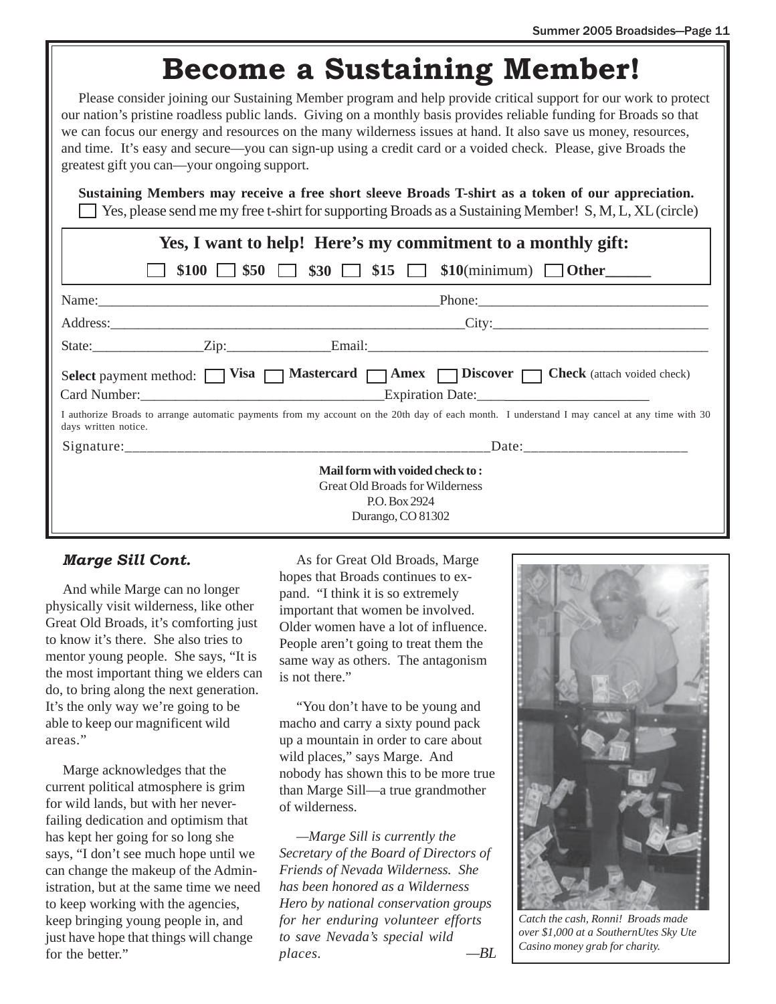### **Become a Sustaining Member!**

Please consider joining our Sustaining Member program and help provide critical support for our work to protect our nation's pristine roadless public lands. Giving on a monthly basis provides reliable funding for Broads so that we can focus our energy and resources on the many wilderness issues at hand. It also save us money, resources, and time. It's easy and secure—you can sign-up using a credit card or a voided check. Please, give Broads the greatest gift you can—your ongoing support.

**Sustaining Members may receive a free short sleeve Broads T-shirt as a token of our appreciation.** Yes, please send me my free t-shirt for supporting Broads as a Sustaining Member! S, M, L, XL (circle)

| Yes, I want to help! Here's my commitment to a monthly gift:                                                                 |                                                                                                                                               |  |  |  |  |
|------------------------------------------------------------------------------------------------------------------------------|-----------------------------------------------------------------------------------------------------------------------------------------------|--|--|--|--|
|                                                                                                                              | \$100 $\Box$ \$50 $\Box$ \$30 $\Box$ \$15 $\Box$ \$10(minimum) $\Box$ Other                                                                   |  |  |  |  |
|                                                                                                                              |                                                                                                                                               |  |  |  |  |
|                                                                                                                              | Address: City: City:                                                                                                                          |  |  |  |  |
|                                                                                                                              |                                                                                                                                               |  |  |  |  |
| Select payment method: Visa Mastercard Master Music Policover   Check (attach voided check)<br>Card Number: Expiration Date: |                                                                                                                                               |  |  |  |  |
| days written notice.                                                                                                         | I authorize Broads to arrange automatic payments from my account on the 20th day of each month. I understand I may cancel at any time with 30 |  |  |  |  |
|                                                                                                                              |                                                                                                                                               |  |  |  |  |
|                                                                                                                              | Mail form with voided check to:                                                                                                               |  |  |  |  |
| <b>Great Old Broads for Wilderness</b>                                                                                       |                                                                                                                                               |  |  |  |  |
|                                                                                                                              | P.O. Box 2924                                                                                                                                 |  |  |  |  |
|                                                                                                                              | Durango, CO 81302                                                                                                                             |  |  |  |  |

#### *Marge Sill Cont.*

And while Marge can no longer physically visit wilderness, like other Great Old Broads, it's comforting just to know it's there. She also tries to mentor young people. She says, "It is the most important thing we elders can do, to bring along the next generation. It's the only way we're going to be able to keep our magnificent wild areas."

Marge acknowledges that the current political atmosphere is grim for wild lands, but with her neverfailing dedication and optimism that has kept her going for so long she says, "I don't see much hope until we can change the makeup of the Administration, but at the same time we need to keep working with the agencies, keep bringing young people in, and just have hope that things will change for the better."

As for Great Old Broads, Marge hopes that Broads continues to expand. "I think it is so extremely important that women be involved. Older women have a lot of influence. People aren't going to treat them the same way as others. The antagonism is not there."

"You don't have to be young and macho and carry a sixty pound pack up a mountain in order to care about wild places," says Marge. And nobody has shown this to be more true than Marge Sill—a true grandmother of wilderness.

*—Marge Sill is currently the Secretary of the Board of Directors of Friends of Nevada Wilderness. She has been honored as a Wilderness Hero by national conservation groups for her enduring volunteer efforts to save Nevada's special wild places. —BL*



*Catch the cash, Ronni! Broads made over \$1,000 at a SouthernUtes Sky Ute Casino money grab for charity.*